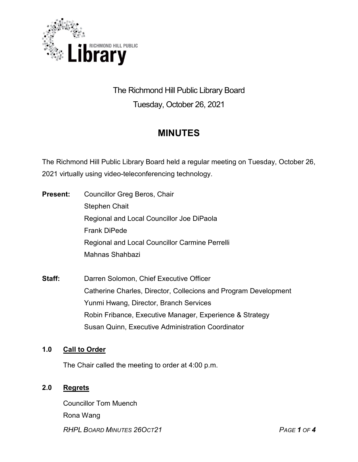

# The Richmond Hill Public Library Board Tuesday, October 26, 2021

# **MINUTES**

The Richmond Hill Public Library Board held a regular meeting on Tuesday, October 26, 2021 virtually using video-teleconferencing technology.

- **Present:** Councillor Greg Beros, Chair Stephen Chait Regional and Local Councillor Joe DiPaola Frank DiPede Regional and Local Councillor Carmine Perrelli Mahnas Shahbazi
- **Staff:** Darren Solomon, Chief Executive Officer Catherine Charles, Director, Collecions and Program Development Yunmi Hwang, Director, Branch Services Robin Fribance, Executive Manager, Experience & Strategy Susan Quinn, Executive Administration Coordinator

## **1.0 Call to Order**

The Chair called the meeting to order at 4:00 p.m.

## **2.0 Regrets**

*RHPL BOARD MINUTES 26OCT21 PAGE 1 OF 4* Councillor Tom Muench Rona Wang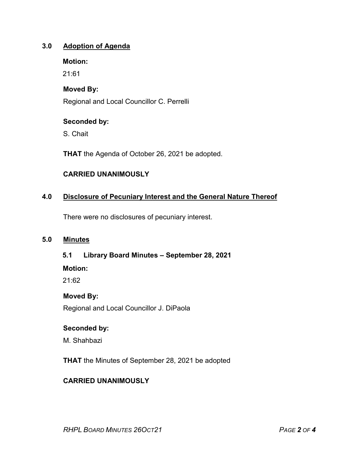## **3.0 Adoption of Agenda**

**Motion:**

21:61

# **Moved By:**

Regional and Local Councillor C. Perrelli

## **Seconded by:**

S. Chait

**THAT** the Agenda of October 26, 2021 be adopted.

# **CARRIED UNANIMOUSLY**

# **4.0 Disclosure of Pecuniary Interest and the General Nature Thereof**

There were no disclosures of pecuniary interest.

### **5.0 Minutes**

#### **5.1 Library Board Minutes – September 28, 2021**

#### **Motion:**

21:62

## **Moved By:**

Regional and Local Councillor J. DiPaola

## **Seconded by:**

M. Shahbazi

**THAT** the Minutes of September 28, 2021 be adopted

## **CARRIED UNANIMOUSLY**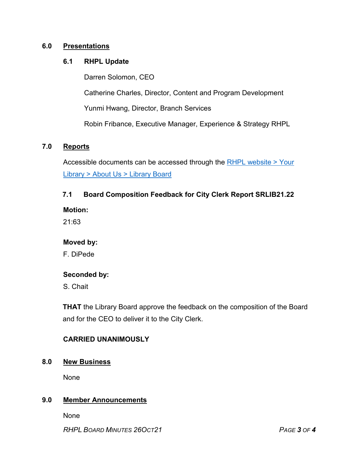## **6.0 Presentations**

#### **6.1 RHPL Update**

Darren Solomon, CEO Catherine Charles, Director, Content and Program Development Yunmi Hwang, Director, Branch Services Robin Fribance, Executive Manager, Experience & Strategy RHPL

## **7.0 Reports**

Accessible documents can be accessed through the [RHPL website > Your](https://www.rhpl.ca/your-library/about-us/library-board)  Library [> About Us > Library](https://www.rhpl.ca/your-library/about-us/library-board) Board

#### **7.1 Board Composition Feedback for City Clerk Report SRLIB21.22**

**Motion:** 

21:63

#### **Moved by:**

F. DiPede

#### **Seconded by:**

S. Chait

**THAT** the Library Board approve the feedback on the composition of the Board and for the CEO to deliver it to the City Clerk.

#### **CARRIED UNANIMOUSLY**

#### **8.0 New Business**

None

## **9.0 Member Announcements**

None

*RHPL BOARD MINUTES 26OCT21 PAGE 3 OF 4*